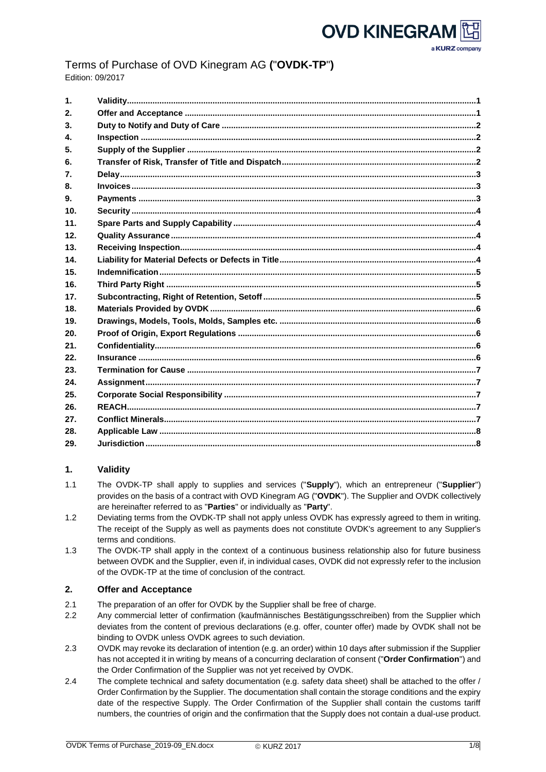

a KURZ company

# Terms of Purchase of OVD Kinegram AG **(**"**OVDK-TP**"**)** Edition: 09/2017

| 1 <sub>1</sub>   |  |
|------------------|--|
| 2.               |  |
| 3 <sub>1</sub>   |  |
| 4.               |  |
| 5.               |  |
| 6.               |  |
| $\mathbf{7}_{-}$ |  |
| 8.               |  |
| 9.               |  |
| 10 <sub>1</sub>  |  |
| 11.              |  |
| 12 <sub>1</sub>  |  |
| 13.              |  |
| 14.              |  |
| 15.              |  |
| 16.              |  |
| 17.              |  |
| 18.              |  |
| 19.              |  |
| 20.              |  |
| 21.              |  |
| 22.              |  |
| 23.              |  |
| 24.              |  |
| 25.              |  |
| 26.              |  |
| 27.              |  |
| 28.              |  |
| 29.              |  |

# <span id="page-0-0"></span>**1. Validity**

- 1.1 The OVDK-TP shall apply to supplies and services ("**Supply**"), which an entrepreneur ("**Supplier**") provides on the basis of a contract with OVD Kinegram AG ("**OVDK**"). The Supplier and OVDK collectively are hereinafter referred to as "**Parties**" or individually as "**Party**".
- 1.2 Deviating terms from the OVDK-TP shall not apply unless OVDK has expressly agreed to them in writing. The receipt of the Supply as well as payments does not constitute OVDK's agreement to any Supplier's terms and conditions.
- 1.3 The OVDK-TP shall apply in the context of a continuous business relationship also for future business between OVDK and the Supplier, even if, in individual cases, OVDK did not expressly refer to the inclusion of the OVDK-TP at the time of conclusion of the contract.

# <span id="page-0-1"></span>**2. Offer and Acceptance**

- 2.1 The preparation of an offer for OVDK by the Supplier shall be free of charge.
- 2.2 Any commercial letter of confirmation (kaufmännisches Bestätigungsschreiben) from the Supplier which deviates from the content of previous declarations (e.g. offer, counter offer) made by OVDK shall not be binding to OVDK unless OVDK agrees to such deviation.
- 2.3 OVDK may revoke its declaration of intention (e.g. an order) within 10 days after submission if the Supplier has not accepted it in writing by means of a concurring declaration of consent ("**Order Confirmation**") and the Order Confirmation of the Supplier was not yet received by OVDK.
- 2.4 The complete technical and safety documentation (e.g. safety data sheet) shall be attached to the offer / Order Confirmation by the Supplier. The documentation shall contain the storage conditions and the expiry date of the respective Supply. The Order Confirmation of the Supplier shall contain the customs tariff numbers, the countries of origin and the confirmation that the Supply does not contain a dual-use product.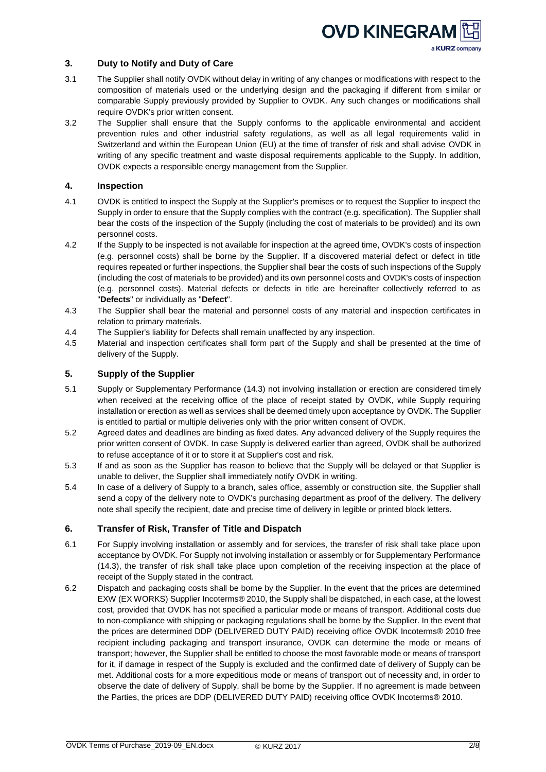# **OVD KINEGRAN** a KURZ company

# <span id="page-1-0"></span>**3. Duty to Notify and Duty of Care**

- 3.1 The Supplier shall notify OVDK without delay in writing of any changes or modifications with respect to the composition of materials used or the underlying design and the packaging if different from similar or comparable Supply previously provided by Supplier to OVDK. Any such changes or modifications shall require OVDK's prior written consent.
- 3.2 The Supplier shall ensure that the Supply conforms to the applicable environmental and accident prevention rules and other industrial safety regulations, as well as all legal requirements valid in Switzerland and within the European Union (EU) at the time of transfer of risk and shall advise OVDK in writing of any specific treatment and waste disposal requirements applicable to the Supply. In addition, OVDK expects a responsible energy management from the Supplier.

# <span id="page-1-1"></span>**4. Inspection**

- 4.1 OVDK is entitled to inspect the Supply at the Supplier's premises or to request the Supplier to inspect the Supply in order to ensure that the Supply complies with the contract (e.g. specification). The Supplier shall bear the costs of the inspection of the Supply (including the cost of materials to be provided) and its own personnel costs.
- 4.2 If the Supply to be inspected is not available for inspection at the agreed time, OVDK's costs of inspection (e.g. personnel costs) shall be borne by the Supplier. If a discovered material defect or defect in title requires repeated or further inspections, the Supplier shall bear the costs of such inspections of the Supply (including the cost of materials to be provided) and its own personnel costs and OVDK's costs of inspection (e.g. personnel costs). Material defects or defects in title are hereinafter collectively referred to as "**Defects**" or individually as "**Defect**".
- 4.3 The Supplier shall bear the material and personnel costs of any material and inspection certificates in relation to primary materials.
- 4.4 The Supplier's liability for Defects shall remain unaffected by any inspection.
- 4.5 Material and inspection certificates shall form part of the Supply and shall be presented at the time of delivery of the Supply.

# <span id="page-1-2"></span>**5. Supply of the Supplier**

- 5.1 Supply or Supplementary Performance (14.3) not involving installation or erection are considered timely when received at the receiving office of the place of receipt stated by OVDK, while Supply requiring installation or erection as well as services shall be deemed timely upon acceptance by OVDK. The Supplier is entitled to partial or multiple deliveries only with the prior written consent of OVDK.
- 5.2 Agreed dates and deadlines are binding as fixed dates. Any advanced delivery of the Supply requires the prior written consent of OVDK. In case Supply is delivered earlier than agreed, OVDK shall be authorized to refuse acceptance of it or to store it at Supplier's cost and risk.
- 5.3 If and as soon as the Supplier has reason to believe that the Supply will be delayed or that Supplier is unable to deliver, the Supplier shall immediately notify OVDK in writing.
- 5.4 In case of a delivery of Supply to a branch, sales office, assembly or construction site, the Supplier shall send a copy of the delivery note to OVDK's purchasing department as proof of the delivery. The delivery note shall specify the recipient, date and precise time of delivery in legible or printed block letters.

# <span id="page-1-3"></span>**6. Transfer of Risk, Transfer of Title and Dispatch**

- 6.1 For Supply involving installation or assembly and for services, the transfer of risk shall take place upon acceptance by OVDK. For Supply not involving installation or assembly or for Supplementary Performance (14.3), the transfer of risk shall take place upon completion of the receiving inspection at the place of receipt of the Supply stated in the contract.
- 6.2 Dispatch and packaging costs shall be borne by the Supplier. In the event that the prices are determined EXW (EX WORKS) Supplier Incoterms® 2010, the Supply shall be dispatched, in each case, at the lowest cost, provided that OVDK has not specified a particular mode or means of transport. Additional costs due to non-compliance with shipping or packaging regulations shall be borne by the Supplier. In the event that the prices are determined DDP (DELIVERED DUTY PAID) receiving office OVDK Incoterms® 2010 free recipient including packaging and transport insurance, OVDK can determine the mode or means of transport; however, the Supplier shall be entitled to choose the most favorable mode or means of transport for it, if damage in respect of the Supply is excluded and the confirmed date of delivery of Supply can be met. Additional costs for a more expeditious mode or means of transport out of necessity and, in order to observe the date of delivery of Supply, shall be borne by the Supplier. If no agreement is made between the Parties, the prices are DDP (DELIVERED DUTY PAID) receiving office OVDK Incoterms® 2010.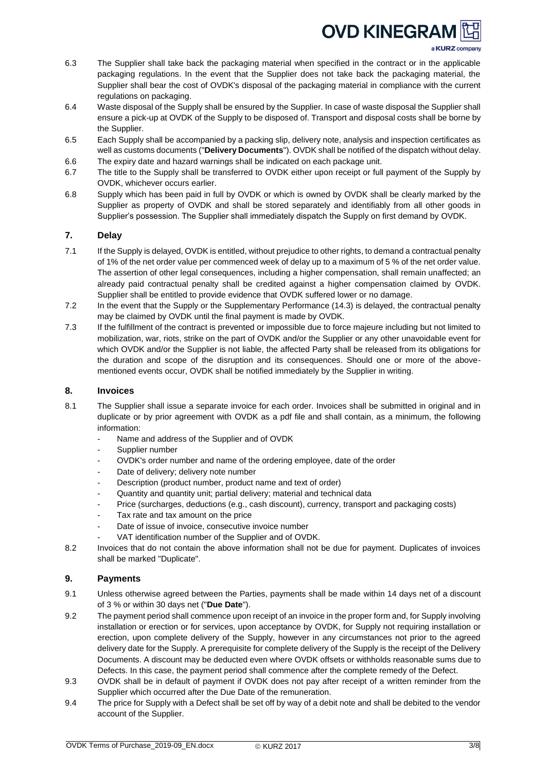# **OVD KINEGRAN**

a KURZ company

- 6.3 The Supplier shall take back the packaging material when specified in the contract or in the applicable packaging regulations. In the event that the Supplier does not take back the packaging material, the Supplier shall bear the cost of OVDK's disposal of the packaging material in compliance with the current regulations on packaging.
- 6.4 Waste disposal of the Supply shall be ensured by the Supplier. In case of waste disposal the Supplier shall ensure a pick-up at OVDK of the Supply to be disposed of. Transport and disposal costs shall be borne by the Supplier.
- 6.5 Each Supply shall be accompanied by a packing slip, delivery note, analysis and inspection certificates as well as customs documents ("**Delivery Documents**"). OVDK shall be notified of the dispatch without delay.
- 6.6 The expiry date and hazard warnings shall be indicated on each package unit.
- 6.7 The title to the Supply shall be transferred to OVDK either upon receipt or full payment of the Supply by OVDK, whichever occurs earlier.
- 6.8 Supply which has been paid in full by OVDK or which is owned by OVDK shall be clearly marked by the Supplier as property of OVDK and shall be stored separately and identifiably from all other goods in Supplier's possession. The Supplier shall immediately dispatch the Supply on first demand by OVDK.

# <span id="page-2-0"></span>**7. Delay**

- 7.1 If the Supply is delayed, OVDK is entitled, without prejudice to other rights, to demand a contractual penalty of 1% of the net order value per commenced week of delay up to a maximum of 5 % of the net order value. The assertion of other legal consequences, including a higher compensation, shall remain unaffected; an already paid contractual penalty shall be credited against a higher compensation claimed by OVDK. Supplier shall be entitled to provide evidence that OVDK suffered lower or no damage.
- 7.2 In the event that the Supply or the Supplementary Performance (14.3) is delayed, the contractual penalty may be claimed by OVDK until the final payment is made by OVDK.
- 7.3 If the fulfillment of the contract is prevented or impossible due to force majeure including but not limited to mobilization, war, riots, strike on the part of OVDK and/or the Supplier or any other unavoidable event for which OVDK and/or the Supplier is not liable, the affected Party shall be released from its obligations for the duration and scope of the disruption and its consequences. Should one or more of the abovementioned events occur, OVDK shall be notified immediately by the Supplier in writing.

# <span id="page-2-1"></span>**8. Invoices**

- 8.1 The Supplier shall issue a separate invoice for each order. Invoices shall be submitted in original and in duplicate or by prior agreement with OVDK as a pdf file and shall contain, as a minimum, the following information:
	- Name and address of the Supplier and of OVDK
	- Supplier number
	- OVDK's order number and name of the ordering employee, date of the order
	- Date of delivery; delivery note number
	- Description (product number, product name and text of order)
	- Quantity and quantity unit; partial delivery; material and technical data
	- Price (surcharges, deductions (e.g., cash discount), currency, transport and packaging costs)
	- Tax rate and tax amount on the price
	- Date of issue of invoice, consecutive invoice number
	- VAT identification number of the Supplier and of OVDK.
- 8.2 Invoices that do not contain the above information shall not be due for payment. Duplicates of invoices shall be marked "Duplicate".

# <span id="page-2-2"></span>**9. Payments**

- 9.1 Unless otherwise agreed between the Parties, payments shall be made within 14 days net of a discount of 3 % or within 30 days net ("**Due Date**").
- 9.2 The payment period shall commence upon receipt of an invoice in the proper form and, for Supply involving installation or erection or for services, upon acceptance by OVDK, for Supply not requiring installation or erection, upon complete delivery of the Supply, however in any circumstances not prior to the agreed delivery date for the Supply. A prerequisite for complete delivery of the Supply is the receipt of the Delivery Documents. A discount may be deducted even where OVDK offsets or withholds reasonable sums due to Defects. In this case, the payment period shall commence after the complete remedy of the Defect.
- 9.3 OVDK shall be in default of payment if OVDK does not pay after receipt of a written reminder from the Supplier which occurred after the Due Date of the remuneration.
- 9.4 The price for Supply with a Defect shall be set off by way of a debit note and shall be debited to the vendor account of the Supplier.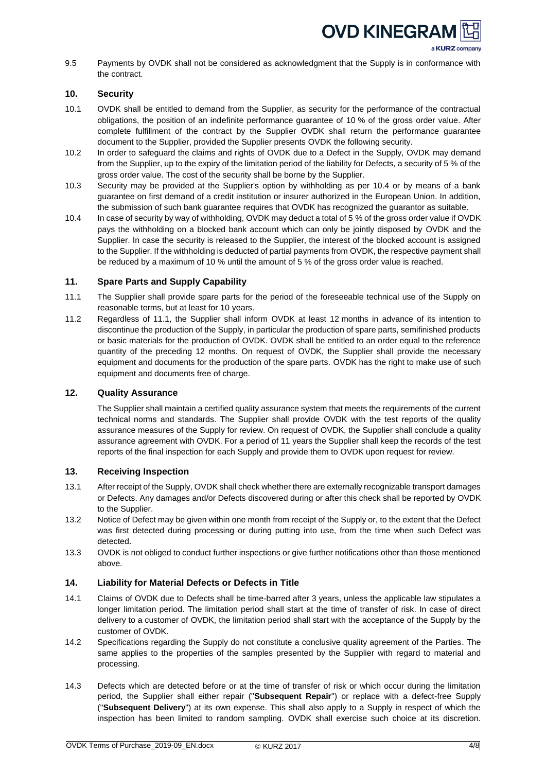

a KURZ company

9.5 Payments by OVDK shall not be considered as acknowledgment that the Supply is in conformance with the contract.

# <span id="page-3-0"></span>**10. Security**

- 10.1 OVDK shall be entitled to demand from the Supplier, as security for the performance of the contractual obligations, the position of an indefinite performance guarantee of 10 % of the gross order value. After complete fulfillment of the contract by the Supplier OVDK shall return the performance guarantee document to the Supplier, provided the Supplier presents OVDK the following security.
- 10.2 In order to safeguard the claims and rights of OVDK due to a Defect in the Supply, OVDK may demand from the Supplier, up to the expiry of the limitation period of the liability for Defects, a security of 5 % of the gross order value. The cost of the security shall be borne by the Supplier.
- 10.3 Security may be provided at the Supplier's option by withholding as per 10.4 or by means of a bank guarantee on first demand of a credit institution or insurer authorized in the European Union. In addition, the submission of such bank guarantee requires that OVDK has recognized the guarantor as suitable.
- 10.4 In case of security by way of withholding, OVDK may deduct a total of 5 % of the gross order value if OVDK pays the withholding on a blocked bank account which can only be jointly disposed by OVDK and the Supplier. In case the security is released to the Supplier, the interest of the blocked account is assigned to the Supplier. If the withholding is deducted of partial payments from OVDK, the respective payment shall be reduced by a maximum of 10 % until the amount of 5 % of the gross order value is reached.

# <span id="page-3-1"></span>**11. Spare Parts and Supply Capability**

- 11.1 The Supplier shall provide spare parts for the period of the foreseeable technical use of the Supply on reasonable terms, but at least for 10 years.
- 11.2 Regardless of 11.1, the Supplier shall inform OVDK at least 12 months in advance of its intention to discontinue the production of the Supply, in particular the production of spare parts, semifinished products or basic materials for the production of OVDK. OVDK shall be entitled to an order equal to the reference quantity of the preceding 12 months. On request of OVDK, the Supplier shall provide the necessary equipment and documents for the production of the spare parts. OVDK has the right to make use of such equipment and documents free of charge.

### <span id="page-3-2"></span>**12. Quality Assurance**

The Supplier shall maintain a certified quality assurance system that meets the requirements of the current technical norms and standards. The Supplier shall provide OVDK with the test reports of the quality assurance measures of the Supply for review. On request of OVDK, the Supplier shall conclude a quality assurance agreement with OVDK. For a period of 11 years the Supplier shall keep the records of the test reports of the final inspection for each Supply and provide them to OVDK upon request for review.

### <span id="page-3-3"></span>**13. Receiving Inspection**

- 13.1 After receipt of the Supply, OVDK shall check whether there are externally recognizable transport damages or Defects. Any damages and/or Defects discovered during or after this check shall be reported by OVDK to the Supplier.
- 13.2 Notice of Defect may be given within one month from receipt of the Supply or, to the extent that the Defect was first detected during processing or during putting into use, from the time when such Defect was detected.
- 13.3 OVDK is not obliged to conduct further inspections or give further notifications other than those mentioned above.

### <span id="page-3-4"></span>**14. Liability for Material Defects or Defects in Title**

- 14.1 Claims of OVDK due to Defects shall be time-barred after 3 years, unless the applicable law stipulates a longer limitation period. The limitation period shall start at the time of transfer of risk. In case of direct delivery to a customer of OVDK, the limitation period shall start with the acceptance of the Supply by the customer of OVDK.
- 14.2 Specifications regarding the Supply do not constitute a conclusive quality agreement of the Parties. The same applies to the properties of the samples presented by the Supplier with regard to material and processing.
- 14.3 Defects which are detected before or at the time of transfer of risk or which occur during the limitation period, the Supplier shall either repair ("**Subsequent Repair**") or replace with a defect-free Supply ("**Subsequent Delivery**") at its own expense. This shall also apply to a Supply in respect of which the inspection has been limited to random sampling. OVDK shall exercise such choice at its discretion.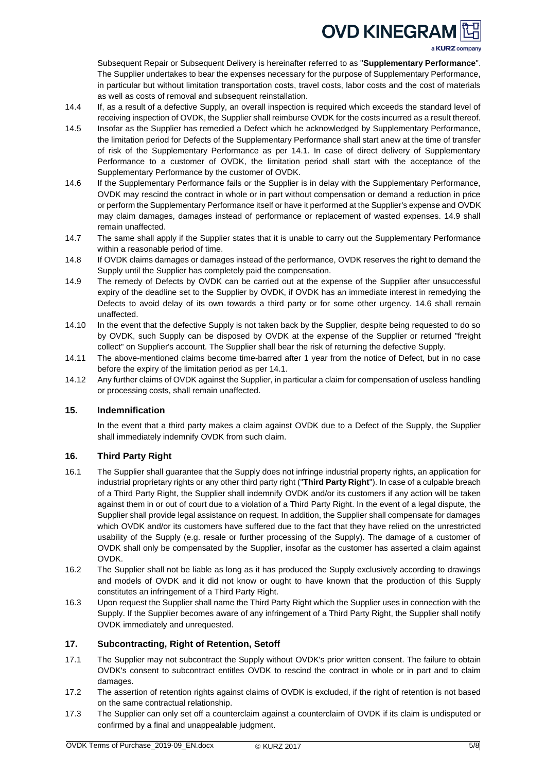# **OVD KINEGRAN**

a KURZ company

Subsequent Repair or Subsequent Delivery is hereinafter referred to as "**Supplementary Performance**". The Supplier undertakes to bear the expenses necessary for the purpose of Supplementary Performance, in particular but without limitation transportation costs, travel costs, labor costs and the cost of materials as well as costs of removal and subsequent reinstallation.

- 14.4 If, as a result of a defective Supply, an overall inspection is required which exceeds the standard level of receiving inspection of OVDK, the Supplier shall reimburse OVDK for the costs incurred as a result thereof.
- 14.5 Insofar as the Supplier has remedied a Defect which he acknowledged by Supplementary Performance, the limitation period for Defects of the Supplementary Performance shall start anew at the time of transfer of risk of the Supplementary Performance as per 14.1. In case of direct delivery of Supplementary Performance to a customer of OVDK, the limitation period shall start with the acceptance of the Supplementary Performance by the customer of OVDK.
- 14.6 If the Supplementary Performance fails or the Supplier is in delay with the Supplementary Performance, OVDK may rescind the contract in whole or in part without compensation or demand a reduction in price or perform the Supplementary Performance itself or have it performed at the Supplier's expense and OVDK may claim damages, damages instead of performance or replacement of wasted expenses. 14.9 shall remain unaffected.
- 14.7 The same shall apply if the Supplier states that it is unable to carry out the Supplementary Performance within a reasonable period of time.
- 14.8 If OVDK claims damages or damages instead of the performance, OVDK reserves the right to demand the Supply until the Supplier has completely paid the compensation.
- 14.9 The remedy of Defects by OVDK can be carried out at the expense of the Supplier after unsuccessful expiry of the deadline set to the Supplier by OVDK, if OVDK has an immediate interest in remedying the Defects to avoid delay of its own towards a third party or for some other urgency. 14.6 shall remain unaffected.
- 14.10 In the event that the defective Supply is not taken back by the Supplier, despite being requested to do so by OVDK, such Supply can be disposed by OVDK at the expense of the Supplier or returned "freight collect" on Supplier's account. The Supplier shall bear the risk of returning the defective Supply.
- 14.11 The above-mentioned claims become time-barred after 1 year from the notice of Defect, but in no case before the expiry of the limitation period as per 14.1.
- 14.12 Any further claims of OVDK against the Supplier, in particular a claim for compensation of useless handling or processing costs, shall remain unaffected.

# <span id="page-4-0"></span>**15. Indemnification**

In the event that a third party makes a claim against OVDK due to a Defect of the Supply, the Supplier shall immediately indemnify OVDK from such claim.

# <span id="page-4-1"></span>**16. Third Party Right**

- 16.1 The Supplier shall guarantee that the Supply does not infringe industrial property rights, an application for industrial proprietary rights or any other third party right ("**Third Party Right**"). In case of a culpable breach of a Third Party Right, the Supplier shall indemnify OVDK and/or its customers if any action will be taken against them in or out of court due to a violation of a Third Party Right. In the event of a legal dispute, the Supplier shall provide legal assistance on request. In addition, the Supplier shall compensate for damages which OVDK and/or its customers have suffered due to the fact that they have relied on the unrestricted usability of the Supply (e.g. resale or further processing of the Supply). The damage of a customer of OVDK shall only be compensated by the Supplier, insofar as the customer has asserted a claim against OVDK.
- 16.2 The Supplier shall not be liable as long as it has produced the Supply exclusively according to drawings and models of OVDK and it did not know or ought to have known that the production of this Supply constitutes an infringement of a Third Party Right.
- 16.3 Upon request the Supplier shall name the Third Party Right which the Supplier uses in connection with the Supply. If the Supplier becomes aware of any infringement of a Third Party Right, the Supplier shall notify OVDK immediately and unrequested.

### <span id="page-4-2"></span>**17. Subcontracting, Right of Retention, Setoff**

- 17.1 The Supplier may not subcontract the Supply without OVDK's prior written consent. The failure to obtain OVDK's consent to subcontract entitles OVDK to rescind the contract in whole or in part and to claim damages.
- 17.2 The assertion of retention rights against claims of OVDK is excluded, if the right of retention is not based on the same contractual relationship.
- 17.3 The Supplier can only set off a counterclaim against a counterclaim of OVDK if its claim is undisputed or confirmed by a final and unappealable judgment.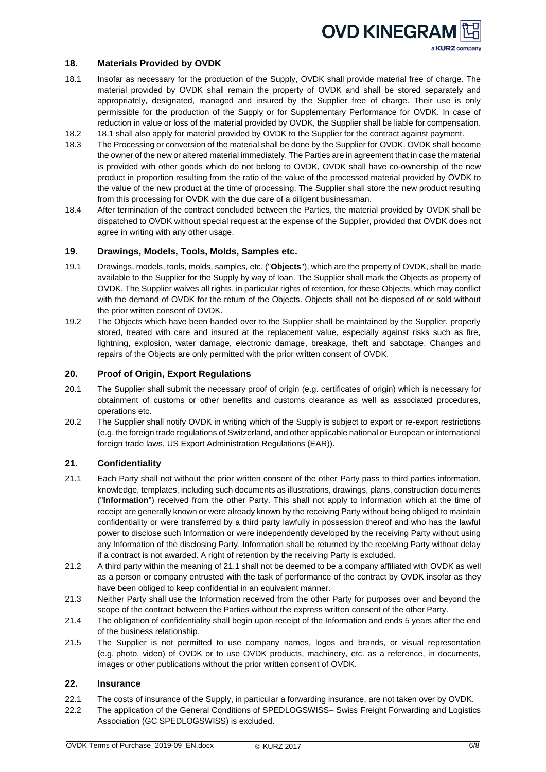

## <span id="page-5-0"></span>**18. Materials Provided by OVDK**

- 18.1 Insofar as necessary for the production of the Supply, OVDK shall provide material free of charge. The material provided by OVDK shall remain the property of OVDK and shall be stored separately and appropriately, designated, managed and insured by the Supplier free of charge. Their use is only permissible for the production of the Supply or for Supplementary Performance for OVDK. In case of reduction in value or loss of the material provided by OVDK, the Supplier shall be liable for compensation.
- 18.2 18.1 shall also apply for material provided by OVDK to the Supplier for the contract against payment.
- 18.3 The Processing or conversion of the material shall be done by the Supplier for OVDK. OVDK shall become the owner of the new or altered material immediately. The Parties are in agreement that in case the material is provided with other goods which do not belong to OVDK, OVDK shall have co-ownership of the new product in proportion resulting from the ratio of the value of the processed material provided by OVDK to the value of the new product at the time of processing. The Supplier shall store the new product resulting from this processing for OVDK with the due care of a diligent businessman.
- 18.4 After termination of the contract concluded between the Parties, the material provided by OVDK shall be dispatched to OVDK without special request at the expense of the Supplier, provided that OVDK does not agree in writing with any other usage.

#### <span id="page-5-1"></span>**19. Drawings, Models, Tools, Molds, Samples etc.**

- 19.1 Drawings, models, tools, molds, samples, etc. ("**Objects**"), which are the property of OVDK, shall be made available to the Supplier for the Supply by way of loan. The Supplier shall mark the Objects as property of OVDK. The Supplier waives all rights, in particular rights of retention, for these Objects, which may conflict with the demand of OVDK for the return of the Objects. Objects shall not be disposed of or sold without the prior written consent of OVDK.
- 19.2 The Objects which have been handed over to the Supplier shall be maintained by the Supplier, properly stored, treated with care and insured at the replacement value, especially against risks such as fire, lightning, explosion, water damage, electronic damage, breakage, theft and sabotage. Changes and repairs of the Objects are only permitted with the prior written consent of OVDK.

### <span id="page-5-2"></span>**20. Proof of Origin, Export Regulations**

- 20.1 The Supplier shall submit the necessary proof of origin (e.g. certificates of origin) which is necessary for obtainment of customs or other benefits and customs clearance as well as associated procedures, operations etc.
- 20.2 The Supplier shall notify OVDK in writing which of the Supply is subject to export or re-export restrictions (e.g. the foreign trade regulations of Switzerland, and other applicable national or European or international foreign trade laws, US Export Administration Regulations (EAR)).

### <span id="page-5-3"></span>**21. Confidentiality**

- 21.1 Each Party shall not without the prior written consent of the other Party pass to third parties information, knowledge, templates, including such documents as illustrations, drawings, plans, construction documents ("**Information**") received from the other Party. This shall not apply to Information which at the time of receipt are generally known or were already known by the receiving Party without being obliged to maintain confidentiality or were transferred by a third party lawfully in possession thereof and who has the lawful power to disclose such Information or were independently developed by the receiving Party without using any Information of the disclosing Party. Information shall be returned by the receiving Party without delay if a contract is not awarded. A right of retention by the receiving Party is excluded.
- 21.2 A third party within the meaning of 21.1 shall not be deemed to be a company affiliated with OVDK as well as a person or company entrusted with the task of performance of the contract by OVDK insofar as they have been obliged to keep confidential in an equivalent manner.
- 21.3 Neither Party shall use the Information received from the other Party for purposes over and beyond the scope of the contract between the Parties without the express written consent of the other Party.
- 21.4 The obligation of confidentiality shall begin upon receipt of the Information and ends 5 years after the end of the business relationship.
- 21.5 The Supplier is not permitted to use company names, logos and brands, or visual representation (e.g. photo, video) of OVDK or to use OVDK products, machinery, etc. as a reference, in documents, images or other publications without the prior written consent of OVDK.

# <span id="page-5-4"></span>**22. Insurance**

- 22.1 The costs of insurance of the Supply, in particular a forwarding insurance, are not taken over by OVDK.
- 22.2 The application of the General Conditions of SPEDLOGSWISS– Swiss Freight Forwarding and Logistics Association (GC SPEDLOGSWISS) is excluded.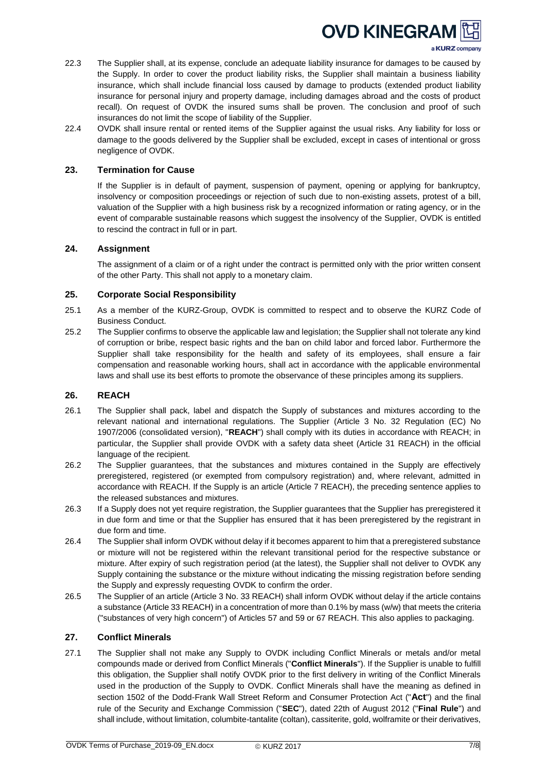

a KURZ company

- 22.3 The Supplier shall, at its expense, conclude an adequate liability insurance for damages to be caused by the Supply. In order to cover the product liability risks, the Supplier shall maintain a business liability insurance, which shall include financial loss caused by damage to products (extended product liability insurance for personal injury and property damage, including damages abroad and the costs of product recall). On request of OVDK the insured sums shall be proven. The conclusion and proof of such insurances do not limit the scope of liability of the Supplier.
- 22.4 OVDK shall insure rental or rented items of the Supplier against the usual risks. Any liability for loss or damage to the goods delivered by the Supplier shall be excluded, except in cases of intentional or gross negligence of OVDK.

#### <span id="page-6-0"></span>**23. Termination for Cause**

If the Supplier is in default of payment, suspension of payment, opening or applying for bankruptcy, insolvency or composition proceedings or rejection of such due to non-existing assets, protest of a bill, valuation of the Supplier with a high business risk by a recognized information or rating agency, or in the event of comparable sustainable reasons which suggest the insolvency of the Supplier, OVDK is entitled to rescind the contract in full or in part.

#### <span id="page-6-1"></span>**24. Assignment**

The assignment of a claim or of a right under the contract is permitted only with the prior written consent of the other Party. This shall not apply to a monetary claim.

#### <span id="page-6-2"></span>**25. Corporate Social Responsibility**

- 25.1 As a member of the KURZ-Group, OVDK is committed to respect and to observe the KURZ Code of Business Conduct.
- 25.2 The Supplier confirms to observe the applicable law and legislation; the Supplier shall not tolerate any kind of corruption or bribe, respect basic rights and the ban on child labor and forced labor. Furthermore the Supplier shall take responsibility for the health and safety of its employees, shall ensure a fair compensation and reasonable working hours, shall act in accordance with the applicable environmental laws and shall use its best efforts to promote the observance of these principles among its suppliers.

#### <span id="page-6-3"></span>**26. REACH**

- 26.1 The Supplier shall pack, label and dispatch the Supply of substances and mixtures according to the relevant national and international regulations. The Supplier (Article 3 No. 32 Regulation (EC) No 1907/2006 (consolidated version), "**REACH**") shall comply with its duties in accordance with REACH; in particular, the Supplier shall provide OVDK with a safety data sheet (Article 31 REACH) in the official language of the recipient.
- 26.2 The Supplier guarantees, that the substances and mixtures contained in the Supply are effectively preregistered, registered (or exempted from compulsory registration) and, where relevant, admitted in accordance with REACH. If the Supply is an article (Article 7 REACH), the preceding sentence applies to the released substances and mixtures.
- 26.3 If a Supply does not yet require registration, the Supplier guarantees that the Supplier has preregistered it in due form and time or that the Supplier has ensured that it has been preregistered by the registrant in due form and time.
- 26.4 The Supplier shall inform OVDK without delay if it becomes apparent to him that a preregistered substance or mixture will not be registered within the relevant transitional period for the respective substance or mixture. After expiry of such registration period (at the latest), the Supplier shall not deliver to OVDK any Supply containing the substance or the mixture without indicating the missing registration before sending the Supply and expressly requesting OVDK to confirm the order.
- 26.5 The Supplier of an article (Article 3 No. 33 REACH) shall inform OVDK without delay if the article contains a substance (Article 33 REACH) in a concentration of more than 0.1% by mass (w/w) that meets the criteria ("substances of very high concern") of Articles 57 and 59 or 67 REACH. This also applies to packaging.

# <span id="page-6-4"></span>**27. Conflict Minerals**

27.1 The Supplier shall not make any Supply to OVDK including Conflict Minerals or metals and/or metal compounds made or derived from Conflict Minerals ("**Conflict Minerals**"). If the Supplier is unable to fulfill this obligation, the Supplier shall notify OVDK prior to the first delivery in writing of the Conflict Minerals used in the production of the Supply to OVDK. Conflict Minerals shall have the meaning as defined in section 1502 of the Dodd-Frank Wall Street Reform and Consumer Protection Act ("**Act**") and the final rule of the Security and Exchange Commission ("**SEC**"), dated 22th of August 2012 ("**Final Rule**") and shall include, without limitation, columbite-tantalite (coltan), cassiterite, gold, wolframite or their derivatives,